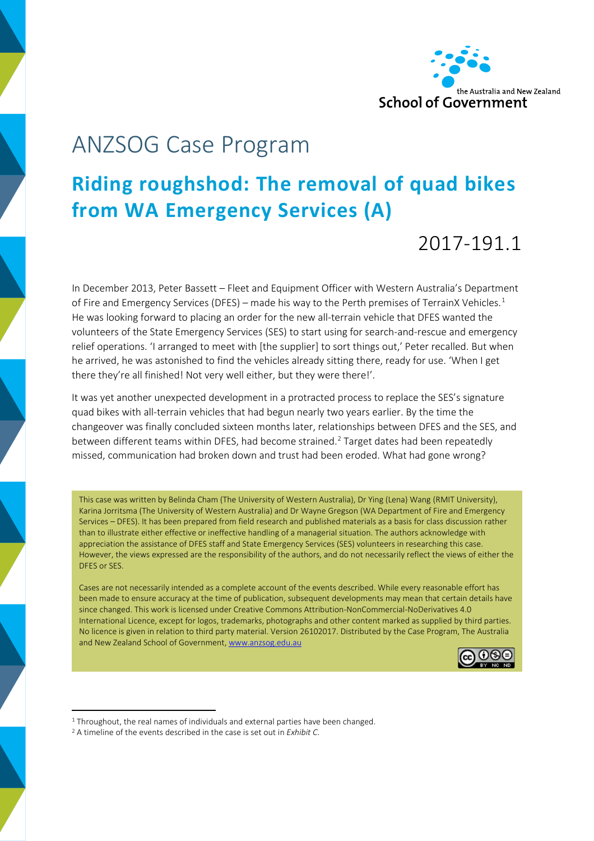

# ANZSOG Case Program

## **Riding roughshod: The removal of quad bikes from WA Emergency Services (A)**

### 2017-191.1

In December 2013, Peter Bassett – Fleet and Equipment Officer with Western Australia's Department of Fire and Emergency Services (DFES) – made his way to the Perth premises of TerrainX Vehicles. $^1$  $^1$ He was looking forward to placing an order for the new all-terrain vehicle that DFES wanted the volunteers of the State Emergency Services (SES) to start using for search-and-rescue and emergency relief operations. 'I arranged to meet with [the supplier] to sort things out,' Peter recalled. But when he arrived, he was astonished to find the vehicles already sitting there, ready for use. 'When I get there they're all finished! Not very well either, but they were there!'.

It was yet another unexpected development in a protracted process to replace the SES's signature quad bikes with all-terrain vehicles that had begun nearly two years earlier. By the time the changeover was finally concluded sixteen months later, relationships between DFES and the SES, and between different teams within DFES, had become strained. [2](#page-0-1) Target dates had been repeatedly missed, communication had broken down and trust had been eroded. What had gone wrong?

This case was written by Belinda Cham (The University of Western Australia), Dr Ying (Lena) Wang (RMIT University), Karina Jorritsma (The University of Western Australia) and Dr Wayne Gregson (WA Department of Fire and Emergency Services – DFES). It has been prepared from field research and published materials as a basis for class discussion rather than to illustrate either effective or ineffective handling of a managerial situation. The authors acknowledge with appreciation the assistance of DFES staff and State Emergency Services (SES) volunteers in researching this case. However, the views expressed are the responsibility of the authors, and do not necessarily reflect the views of either the DFES or SES.

Cases are not necessarily intended as a complete account of the events described. While every reasonable effort has been made to ensure accuracy at the time of publication, subsequent developments may mean that certain details have since changed. This work is licensed under Creative Commons Attribution-NonCommercial-NoDerivatives 4.0 International Licence, except for logos, trademarks, photographs and other content marked as supplied by third parties. No licence is given in relation to third party material. Version 26102017. Distributed by the Case Program, The Australia and New Zealand School of Government[, www.anzsog.edu.au](http://www.anzsog.edu.au/)



<span id="page-0-0"></span><sup>&</sup>lt;sup>1</sup> Throughout, the real names of individuals and external parties have been changed.

<span id="page-0-1"></span><sup>2</sup> A timeline of the events described in the case is set out in *Exhibit C*.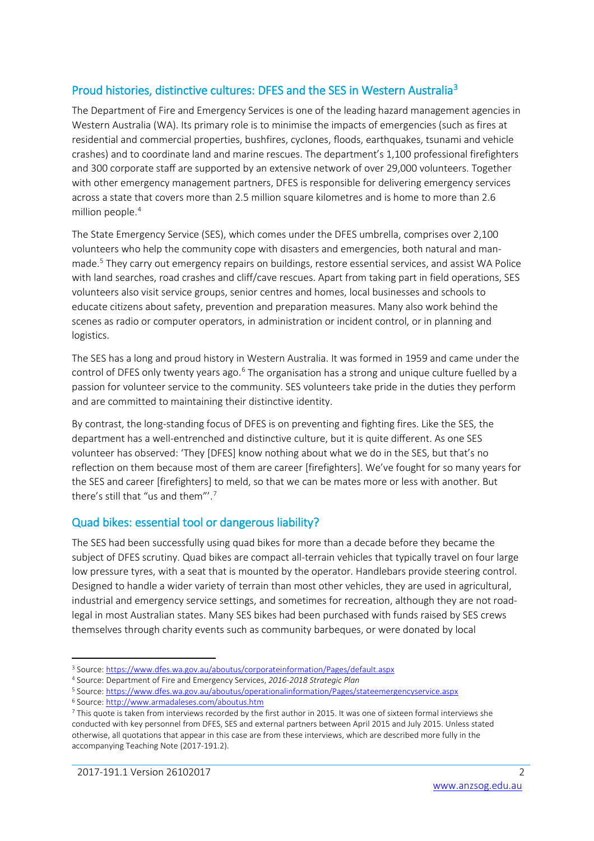#### Proud histories, distinctive cultures: DFES and the SES in Western Australi[a3](#page-1-0)

The Department of Fire and Emergency Services is one of the leading hazard management agencies in Western Australia (WA). Its primary role is to minimise the impacts of emergencies (such as fires at residential and commercial properties, bushfires, cyclones, floods, earthquakes, tsunami and vehicle crashes) and to coordinate land and marine rescues. The department's 1,100 professional firefighters and 300 corporate staff are supported by an extensive network of over 29,000 volunteers. Together with other emergency management partners, DFES is responsible for delivering emergency services across a state that covers more than 2.5 million square kilometres and is home to more than 2.6 million people.[4](#page-1-1)

The State Emergency Service (SES), which comes under the DFES umbrella, comprises over 2,100 volunteers who help the community cope with disasters and emergencies, both natural and man-made.<sup>[5](#page-1-2)</sup> They carry out emergency repairs on buildings, restore essential services, and assist WA Police with land searches, road crashes and cliff/cave rescues. Apart from taking part in field operations, SES volunteers also visit service groups, senior centres and homes, local businesses and schools to educate citizens about safety, prevention and preparation measures. Many also work behind the scenes as radio or computer operators, in administration or incident control, or in planning and logistics.

The SES has a long and proud history in Western Australia. It was formed in 1959 and came under the control of DFES only twenty years ago.<sup>[6](#page-1-3)</sup> The organisation has a strong and unique culture fuelled by a passion for volunteer service to the community. SES volunteers take pride in the duties they perform and are committed to maintaining their distinctive identity.

By contrast, the long-standing focus of DFES is on preventing and fighting fires. Like the SES, the department has a well-entrenched and distinctive culture, but it is quite different. As one SES volunteer has observed: 'They [DFES] know nothing about what we do in the SES, but that's no reflection on them because most of them are career [firefighters]. We've fought for so many years for the SES and career [firefighters] to meld, so that we can be mates more or less with another. But there's still that "us and them"'.[7](#page-1-4)

#### Quad bikes: essential tool or dangerous liability?

The SES had been successfully using quad bikes for more than a decade before they became the subject of DFES scrutiny. Quad bikes are compact all-terrain vehicles that typically travel on four large low pressure tyres, with a seat that is mounted by the operator. Handlebars provide steering control. Designed to handle a wider variety of terrain than most other vehicles, they are used in agricultural, industrial and emergency service settings, and sometimes for recreation, although they are not roadlegal in most Australian states. Many SES bikes had been purchased with funds raised by SES crews themselves through charity events such as community barbeques, or were donated by local

<span id="page-1-0"></span><sup>&</sup>lt;sup>3</sup> Source[: https://www.dfes.wa.gov.au/aboutus/corporateinformation/Pages/default.aspx](https://www.dfes.wa.gov.au/aboutus/corporateinformation/Pages/default.aspx)

<span id="page-1-1"></span><sup>4</sup> Source: Department of Fire and Emergency Services, *2016-2018 Strategic Plan*

<span id="page-1-2"></span><sup>5</sup> Source[: https://www.dfes.wa.gov.au/aboutus/operationalinformation/Pages/stateemergencyservice.aspx](https://www.dfes.wa.gov.au/aboutus/operationalinformation/Pages/stateemergencyservice.aspx)

<span id="page-1-3"></span><sup>6</sup> Source[: http://www.armadaleses.com/aboutus.htm](http://www.armadaleses.com/aboutus.htm)

<span id="page-1-4"></span><sup>7</sup> This quote is taken from interviews recorded by the first author in 2015. It was one of sixteen formal interviews she conducted with key personnel from DFES, SES and external partners between April 2015 and July 2015. Unless stated otherwise, all quotations that appear in this case are from these interviews, which are described more fully in the accompanying Teaching Note (2017-191.2).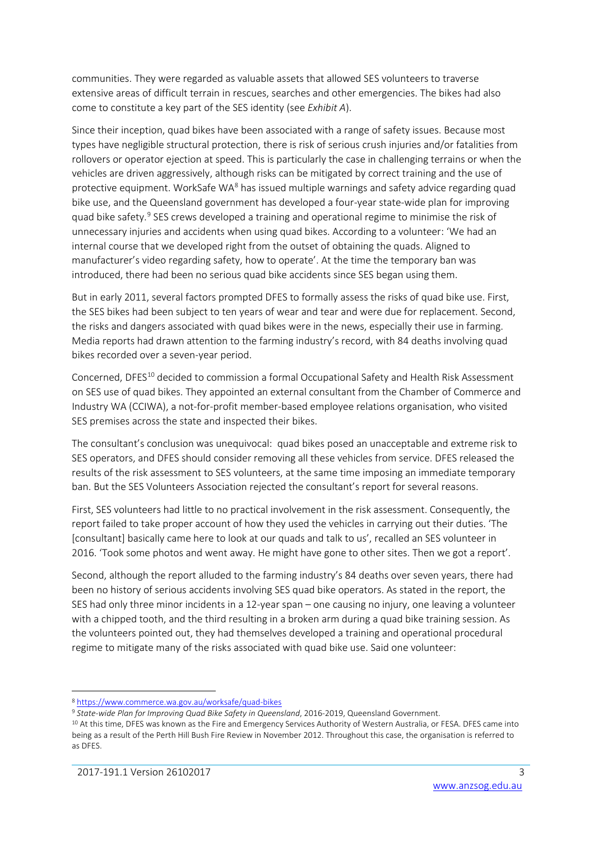communities. They were regarded as valuable assets that allowed SES volunteers to traverse extensive areas of difficult terrain in rescues, searches and other emergencies. The bikes had also come to constitute a key part of the SES identity (see *Exhibit A*).

Since their inception, quad bikes have been associated with a range of safety issues. Because most types have negligible structural protection, there is risk of serious crush injuries and/or fatalities from rollovers or operator ejection at speed. This is particularly the case in challenging terrains or when the vehicles are driven aggressively, although risks can be mitigated by correct training and the use of protective equipment. WorkSafe WA<sup>[8](#page-2-0)</sup> has issued multiple warnings and safety advice regarding quad bike use, and the Queensland government has developed a four-year state-wide plan for improving quad bike safety.<sup>[9](#page-2-1)</sup> SES crews developed a training and operational regime to minimise the risk of unnecessary injuries and accidents when using quad bikes. According to a volunteer: 'We had an internal course that we developed right from the outset of obtaining the quads. Aligned to manufacturer's video regarding safety, how to operate'. At the time the temporary ban was introduced, there had been no serious quad bike accidents since SES began using them.

But in early 2011, several factors prompted DFES to formally assess the risks of quad bike use. First, the SES bikes had been subject to ten years of wear and tear and were due for replacement. Second, the risks and dangers associated with quad bikes were in the news, especially their use in farming. Media reports had drawn attention to the farming industry's record, with 84 deaths involving quad bikes recorded over a seven-year period.

Concerned, DFES<sup>[10](#page-2-2)</sup> decided to commission a formal Occupational Safety and Health Risk Assessment on SES use of quad bikes. They appointed an external consultant from the Chamber of Commerce and Industry WA (CCIWA), a not-for-profit member-based employee relations organisation, who visited SES premises across the state and inspected their bikes.

The consultant's conclusion was unequivocal: quad bikes posed an unacceptable and extreme risk to SES operators, and DFES should consider removing all these vehicles from service. DFES released the results of the risk assessment to SES volunteers, at the same time imposing an immediate temporary ban. But the SES Volunteers Association rejected the consultant's report for several reasons.

First, SES volunteers had little to no practical involvement in the risk assessment. Consequently, the report failed to take proper account of how they used the vehicles in carrying out their duties. 'The [consultant] basically came here to look at our quads and talk to us', recalled an SES volunteer in 2016. 'Took some photos and went away. He might have gone to other sites. Then we got a report'.

Second, although the report alluded to the farming industry's 84 deaths over seven years, there had been no history of serious accidents involving SES quad bike operators. As stated in the report, the SES had only three minor incidents in a 12-year span – one causing no injury, one leaving a volunteer with a chipped tooth, and the third resulting in a broken arm during a quad bike training session. As the volunteers pointed out, they had themselves developed a training and operational procedural regime to mitigate many of the risks associated with quad bike use. Said one volunteer:

<span id="page-2-0"></span> <sup>8</sup> <https://www.commerce.wa.gov.au/worksafe/quad-bikes>

<span id="page-2-1"></span><sup>9</sup> *State-wide Plan for Improving Quad Bike Safety in Queensland*, 2016-2019, Queensland Government.

<span id="page-2-2"></span> $10$  At this time, DFES was known as the Fire and Emergency Services Authority of Western Australia, or FESA. DFES came into being as a result of the Perth Hill Bush Fire Review in November 2012. Throughout this case, the organisation is referred to as DFES.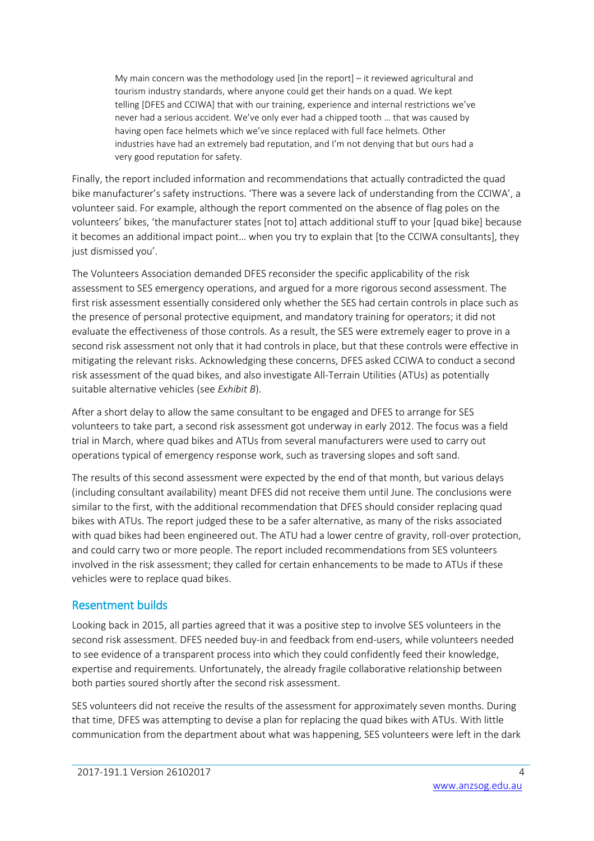My main concern was the methodology used [in the report] – it reviewed agricultural and tourism industry standards, where anyone could get their hands on a quad. We kept telling [DFES and CCIWA] that with our training, experience and internal restrictions we've never had a serious accident. We've only ever had a chipped tooth … that was caused by having open face helmets which we've since replaced with full face helmets. Other industries have had an extremely bad reputation, and I'm not denying that but ours had a very good reputation for safety.

Finally, the report included information and recommendations that actually contradicted the quad bike manufacturer's safety instructions. 'There was a severe lack of understanding from the CCIWA', a volunteer said. For example, although the report commented on the absence of flag poles on the volunteers' bikes, 'the manufacturer states [not to] attach additional stuff to your [quad bike] because it becomes an additional impact point… when you try to explain that [to the CCIWA consultants], they just dismissed you'.

The Volunteers Association demanded DFES reconsider the specific applicability of the risk assessment to SES emergency operations, and argued for a more rigorous second assessment. The first risk assessment essentially considered only whether the SES had certain controls in place such as the presence of personal protective equipment, and mandatory training for operators; it did not evaluate the effectiveness of those controls. As a result, the SES were extremely eager to prove in a second risk assessment not only that it had controls in place, but that these controls were effective in mitigating the relevant risks. Acknowledging these concerns, DFES asked CCIWA to conduct a second risk assessment of the quad bikes, and also investigate All-Terrain Utilities (ATUs) as potentially suitable alternative vehicles (see *Exhibit B*).

After a short delay to allow the same consultant to be engaged and DFES to arrange for SES volunteers to take part, a second risk assessment got underway in early 2012. The focus was a field trial in March, where quad bikes and ATUs from several manufacturers were used to carry out operations typical of emergency response work, such as traversing slopes and soft sand.

The results of this second assessment were expected by the end of that month, but various delays (including consultant availability) meant DFES did not receive them until June. The conclusions were similar to the first, with the additional recommendation that DFES should consider replacing quad bikes with ATUs. The report judged these to be a safer alternative, as many of the risks associated with quad bikes had been engineered out. The ATU had a lower centre of gravity, roll-over protection, and could carry two or more people. The report included recommendations from SES volunteers involved in the risk assessment; they called for certain enhancements to be made to ATUs if these vehicles were to replace quad bikes.

#### Resentment builds

Looking back in 2015, all parties agreed that it was a positive step to involve SES volunteers in the second risk assessment. DFES needed buy-in and feedback from end-users, while volunteers needed to see evidence of a transparent process into which they could confidently feed their knowledge, expertise and requirements. Unfortunately, the already fragile collaborative relationship between both parties soured shortly after the second risk assessment.

SES volunteers did not receive the results of the assessment for approximately seven months. During that time, DFES was attempting to devise a plan for replacing the quad bikes with ATUs. With little communication from the department about what was happening, SES volunteers were left in the dark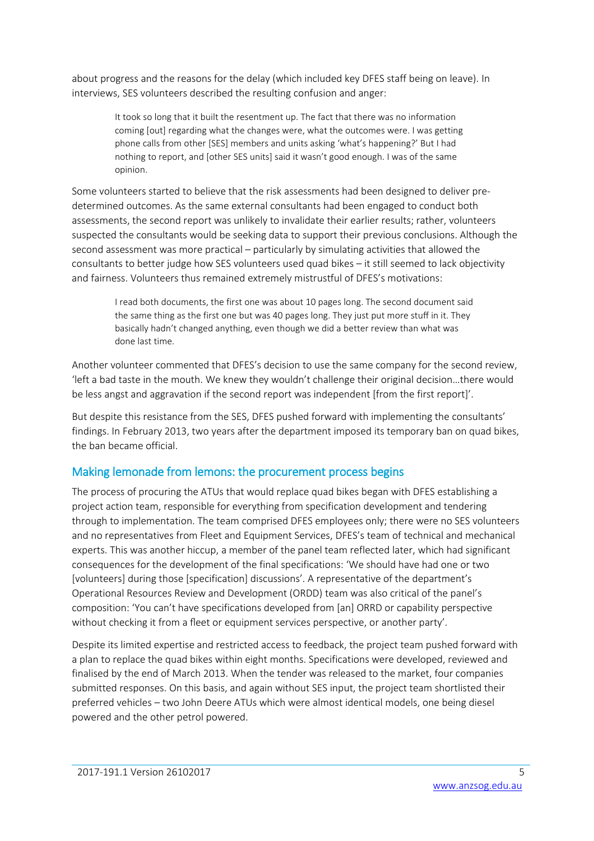about progress and the reasons for the delay (which included key DFES staff being on leave). In interviews, SES volunteers described the resulting confusion and anger:

> It took so long that it built the resentment up. The fact that there was no information coming [out] regarding what the changes were, what the outcomes were. I was getting phone calls from other [SES] members and units asking 'what's happening?' But I had nothing to report, and [other SES units] said it wasn't good enough. I was of the same opinion.

Some volunteers started to believe that the risk assessments had been designed to deliver predetermined outcomes. As the same external consultants had been engaged to conduct both assessments, the second report was unlikely to invalidate their earlier results; rather, volunteers suspected the consultants would be seeking data to support their previous conclusions. Although the second assessment was more practical – particularly by simulating activities that allowed the consultants to better judge how SES volunteers used quad bikes – it still seemed to lack objectivity and fairness. Volunteers thus remained extremely mistrustful of DFES's motivations:

I read both documents, the first one was about 10 pages long. The second document said the same thing as the first one but was 40 pages long. They just put more stuff in it. They basically hadn't changed anything, even though we did a better review than what was done last time.

Another volunteer commented that DFES's decision to use the same company for the second review, 'left a bad taste in the mouth. We knew they wouldn't challenge their original decision…there would be less angst and aggravation if the second report was independent [from the first report]'.

But despite this resistance from the SES, DFES pushed forward with implementing the consultants' findings. In February 2013, two years after the department imposed its temporary ban on quad bikes, the ban became official.

#### Making lemonade from lemons: the procurement process begins

The process of procuring the ATUs that would replace quad bikes began with DFES establishing a project action team, responsible for everything from specification development and tendering through to implementation. The team comprised DFES employees only; there were no SES volunteers and no representatives from Fleet and Equipment Services, DFES's team of technical and mechanical experts. This was another hiccup, a member of the panel team reflected later, which had significant consequences for the development of the final specifications: 'We should have had one or two [volunteers] during those [specification] discussions'. A representative of the department's Operational Resources Review and Development (ORDD) team was also critical of the panel's composition: 'You can't have specifications developed from [an] ORRD or capability perspective without checking it from a fleet or equipment services perspective, or another party'.

Despite its limited expertise and restricted access to feedback, the project team pushed forward with a plan to replace the quad bikes within eight months. Specifications were developed, reviewed and finalised by the end of March 2013. When the tender was released to the market, four companies submitted responses. On this basis, and again without SES input, the project team shortlisted their preferred vehicles – two John Deere ATUs which were almost identical models, one being diesel powered and the other petrol powered.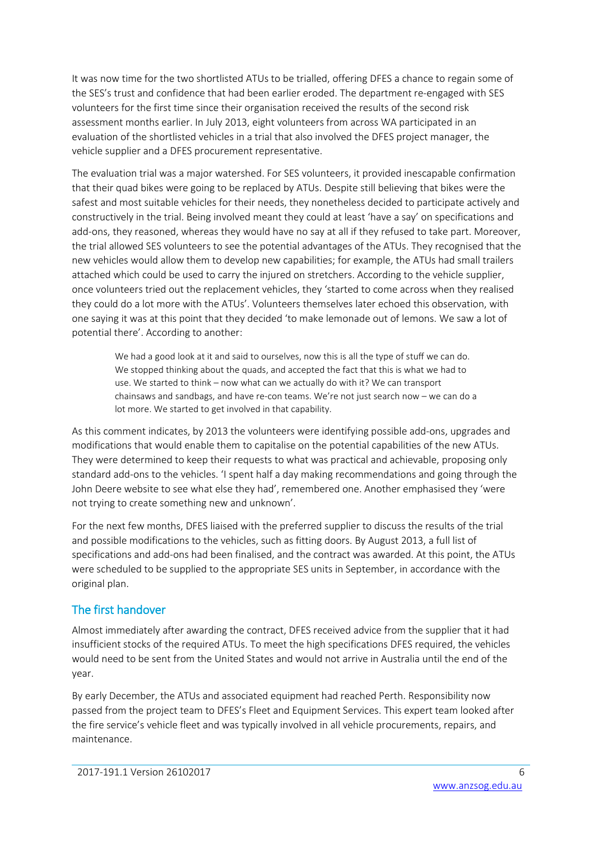It was now time for the two shortlisted ATUs to be trialled, offering DFES a chance to regain some of the SES's trust and confidence that had been earlier eroded. The department re-engaged with SES volunteers for the first time since their organisation received the results of the second risk assessment months earlier. In July 2013, eight volunteers from across WA participated in an evaluation of the shortlisted vehicles in a trial that also involved the DFES project manager, the vehicle supplier and a DFES procurement representative.

The evaluation trial was a major watershed. For SES volunteers, it provided inescapable confirmation that their quad bikes were going to be replaced by ATUs. Despite still believing that bikes were the safest and most suitable vehicles for their needs, they nonetheless decided to participate actively and constructively in the trial. Being involved meant they could at least 'have a say' on specifications and add-ons, they reasoned, whereas they would have no say at all if they refused to take part. Moreover, the trial allowed SES volunteers to see the potential advantages of the ATUs. They recognised that the new vehicles would allow them to develop new capabilities; for example, the ATUs had small trailers attached which could be used to carry the injured on stretchers. According to the vehicle supplier, once volunteers tried out the replacement vehicles, they 'started to come across when they realised they could do a lot more with the ATUs'. Volunteers themselves later echoed this observation, with one saying it was at this point that they decided 'to make lemonade out of lemons. We saw a lot of potential there'. According to another:

We had a good look at it and said to ourselves, now this is all the type of stuff we can do. We stopped thinking about the quads, and accepted the fact that this is what we had to use. We started to think – now what can we actually do with it? We can transport chainsaws and sandbags, and have re-con teams. We're not just search now – we can do a lot more. We started to get involved in that capability.

As this comment indicates, by 2013 the volunteers were identifying possible add-ons, upgrades and modifications that would enable them to capitalise on the potential capabilities of the new ATUs. They were determined to keep their requests to what was practical and achievable, proposing only standard add-ons to the vehicles. 'I spent half a day making recommendations and going through the John Deere website to see what else they had', remembered one. Another emphasised they 'were not trying to create something new and unknown'.

For the next few months, DFES liaised with the preferred supplier to discuss the results of the trial and possible modifications to the vehicles, such as fitting doors. By August 2013, a full list of specifications and add-ons had been finalised, and the contract was awarded. At this point, the ATUs were scheduled to be supplied to the appropriate SES units in September, in accordance with the original plan.

#### The first handover

Almost immediately after awarding the contract, DFES received advice from the supplier that it had insufficient stocks of the required ATUs. To meet the high specifications DFES required, the vehicles would need to be sent from the United States and would not arrive in Australia until the end of the year.

By early December, the ATUs and associated equipment had reached Perth. Responsibility now passed from the project team to DFES's Fleet and Equipment Services. This expert team looked after the fire service's vehicle fleet and was typically involved in all vehicle procurements, repairs, and maintenance.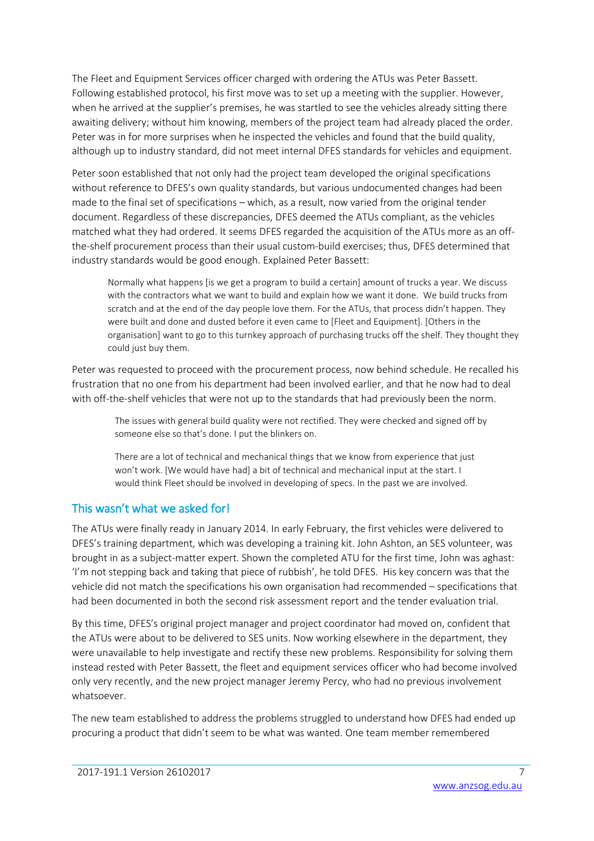The Fleet and Equipment Services officer charged with ordering the ATUs was Peter Bassett. Following established protocol, his first move was to set up a meeting with the supplier. However, when he arrived at the supplier's premises, he was startled to see the vehicles already sitting there awaiting delivery; without him knowing, members of the project team had already placed the order. Peter was in for more surprises when he inspected the vehicles and found that the build quality, although up to industry standard, did not meet internal DFES standards for vehicles and equipment.

Peter soon established that not only had the project team developed the original specifications without reference to DFES's own quality standards, but various undocumented changes had been made to the final set of specifications – which, as a result, now varied from the original tender document. Regardless of these discrepancies, DFES deemed the ATUs compliant, as the vehicles matched what they had ordered. It seems DFES regarded the acquisition of the ATUs more as an offthe-shelf procurement process than their usual custom-build exercises; thus, DFES determined that industry standards would be good enough. Explained Peter Bassett:

Normally what happens [is we get a program to build a certain] amount of trucks a year. We discuss with the contractors what we want to build and explain how we want it done. We build trucks from scratch and at the end of the day people love them. For the ATUs, that process didn't happen. They were built and done and dusted before it even came to [Fleet and Equipment]. [Others in the organisation] want to go to this turnkey approach of purchasing trucks off the shelf. They thought they could just buy them.

Peter was requested to proceed with the procurement process, now behind schedule. He recalled his frustration that no one from his department had been involved earlier, and that he now had to deal with off-the-shelf vehicles that were not up to the standards that had previously been the norm.

The issues with general build quality were not rectified. They were checked and signed off by someone else so that's done. I put the blinkers on.

There are a lot of technical and mechanical things that we know from experience that just won't work. [We would have had] a bit of technical and mechanical input at the start. I would think Fleet should be involved in developing of specs. In the past we are involved.

#### This wasn't what we asked for!

The ATUs were finally ready in January 2014. In early February, the first vehicles were delivered to DFES's training department, which was developing a training kit. John Ashton, an SES volunteer, was brought in as a subject-matter expert. Shown the completed ATU for the first time, John was aghast: 'I'm not stepping back and taking that piece of rubbish', he told DFES. His key concern was that the vehicle did not match the specifications his own organisation had recommended – specifications that had been documented in both the second risk assessment report and the tender evaluation trial.

By this time, DFES's original project manager and project coordinator had moved on, confident that the ATUs were about to be delivered to SES units. Now working elsewhere in the department, they were unavailable to help investigate and rectify these new problems. Responsibility for solving them instead rested with Peter Bassett, the fleet and equipment services officer who had become involved only very recently, and the new project manager Jeremy Percy, who had no previous involvement whatsoever.

The new team established to address the problems struggled to understand how DFES had ended up procuring a product that didn't seem to be what was wanted. One team member remembered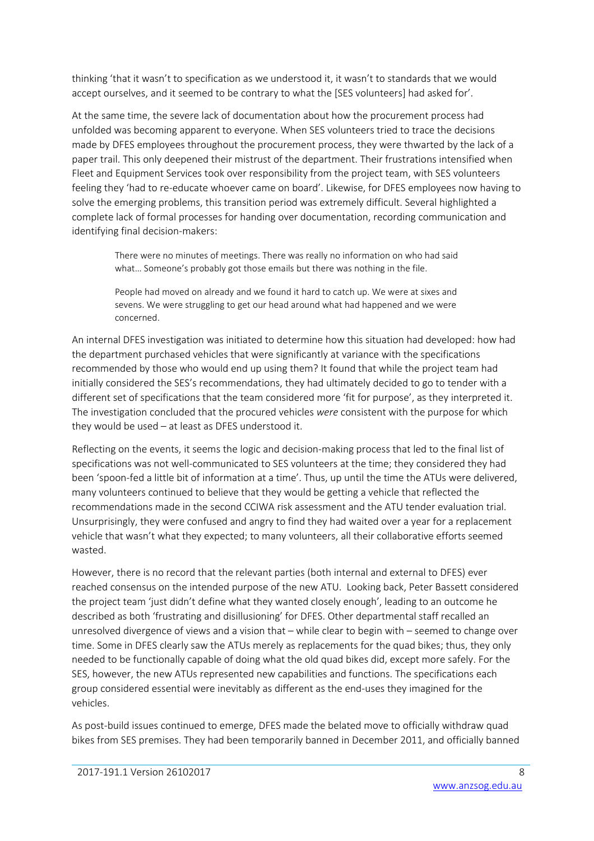thinking 'that it wasn't to specification as we understood it, it wasn't to standards that we would accept ourselves, and it seemed to be contrary to what the [SES volunteers] had asked for'.

At the same time, the severe lack of documentation about how the procurement process had unfolded was becoming apparent to everyone. When SES volunteers tried to trace the decisions made by DFES employees throughout the procurement process, they were thwarted by the lack of a paper trail. This only deepened their mistrust of the department. Their frustrations intensified when Fleet and Equipment Services took over responsibility from the project team, with SES volunteers feeling they 'had to re-educate whoever came on board'. Likewise, for DFES employees now having to solve the emerging problems, this transition period was extremely difficult. Several highlighted a complete lack of formal processes for handing over documentation, recording communication and identifying final decision-makers:

There were no minutes of meetings. There was really no information on who had said what… Someone's probably got those emails but there was nothing in the file.

People had moved on already and we found it hard to catch up. We were at sixes and sevens. We were struggling to get our head around what had happened and we were concerned.

An internal DFES investigation was initiated to determine how this situation had developed: how had the department purchased vehicles that were significantly at variance with the specifications recommended by those who would end up using them? It found that while the project team had initially considered the SES's recommendations, they had ultimately decided to go to tender with a different set of specifications that the team considered more 'fit for purpose', as they interpreted it. The investigation concluded that the procured vehicles *were* consistent with the purpose for which they would be used – at least as DFES understood it.

Reflecting on the events, it seems the logic and decision-making process that led to the final list of specifications was not well-communicated to SES volunteers at the time; they considered they had been 'spoon-fed a little bit of information at a time'. Thus, up until the time the ATUs were delivered, many volunteers continued to believe that they would be getting a vehicle that reflected the recommendations made in the second CCIWA risk assessment and the ATU tender evaluation trial. Unsurprisingly, they were confused and angry to find they had waited over a year for a replacement vehicle that wasn't what they expected; to many volunteers, all their collaborative efforts seemed wasted.

However, there is no record that the relevant parties (both internal and external to DFES) ever reached consensus on the intended purpose of the new ATU. Looking back, Peter Bassett considered the project team 'just didn't define what they wanted closely enough', leading to an outcome he described as both 'frustrating and disillusioning' for DFES. Other departmental staff recalled an unresolved divergence of views and a vision that – while clear to begin with – seemed to change over time. Some in DFES clearly saw the ATUs merely as replacements for the quad bikes; thus, they only needed to be functionally capable of doing what the old quad bikes did, except more safely. For the SES, however, the new ATUs represented new capabilities and functions. The specifications each group considered essential were inevitably as different as the end-uses they imagined for the vehicles.

As post-build issues continued to emerge, DFES made the belated move to officially withdraw quad bikes from SES premises. They had been temporarily banned in December 2011, and officially banned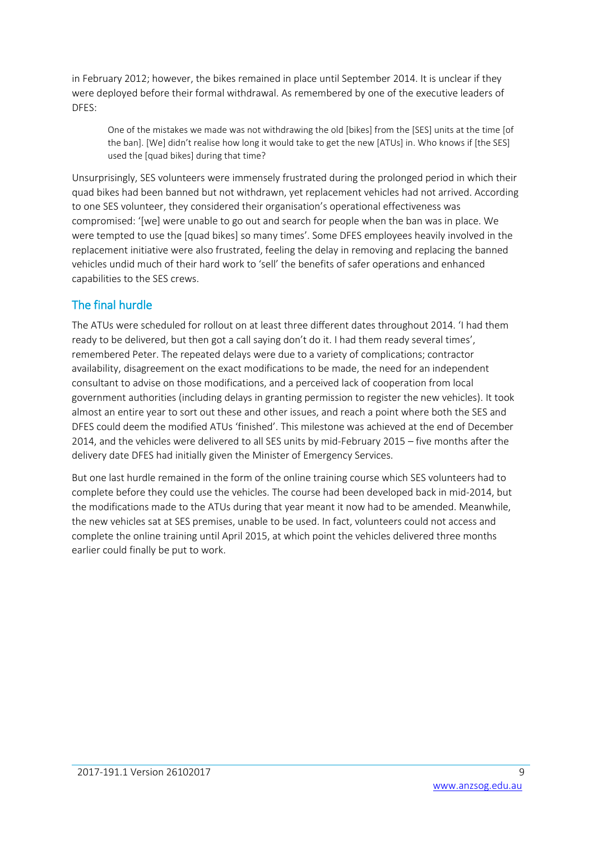in February 2012; however, the bikes remained in place until September 2014. It is unclear if they were deployed before their formal withdrawal. As remembered by one of the executive leaders of DFES:

One of the mistakes we made was not withdrawing the old [bikes] from the [SES] units at the time [of the ban]. [We] didn't realise how long it would take to get the new [ATUs] in. Who knows if [the SES] used the [quad bikes] during that time?

Unsurprisingly, SES volunteers were immensely frustrated during the prolonged period in which their quad bikes had been banned but not withdrawn, yet replacement vehicles had not arrived. According to one SES volunteer, they considered their organisation's operational effectiveness was compromised: '[we] were unable to go out and search for people when the ban was in place. We were tempted to use the [quad bikes] so many times'. Some DFES employees heavily involved in the replacement initiative were also frustrated, feeling the delay in removing and replacing the banned vehicles undid much of their hard work to 'sell' the benefits of safer operations and enhanced capabilities to the SES crews.

#### The final hurdle

The ATUs were scheduled for rollout on at least three different dates throughout 2014. 'I had them ready to be delivered, but then got a call saying don't do it. I had them ready several times', remembered Peter. The repeated delays were due to a variety of complications; contractor availability, disagreement on the exact modifications to be made, the need for an independent consultant to advise on those modifications, and a perceived lack of cooperation from local government authorities (including delays in granting permission to register the new vehicles). It took almost an entire year to sort out these and other issues, and reach a point where both the SES and DFES could deem the modified ATUs 'finished'. This milestone was achieved at the end of December 2014, and the vehicles were delivered to all SES units by mid-February 2015 – five months after the delivery date DFES had initially given the Minister of Emergency Services.

But one last hurdle remained in the form of the online training course which SES volunteers had to complete before they could use the vehicles. The course had been developed back in mid-2014, but the modifications made to the ATUs during that year meant it now had to be amended. Meanwhile, the new vehicles sat at SES premises, unable to be used. In fact, volunteers could not access and complete the online training until April 2015, at which point the vehicles delivered three months earlier could finally be put to work.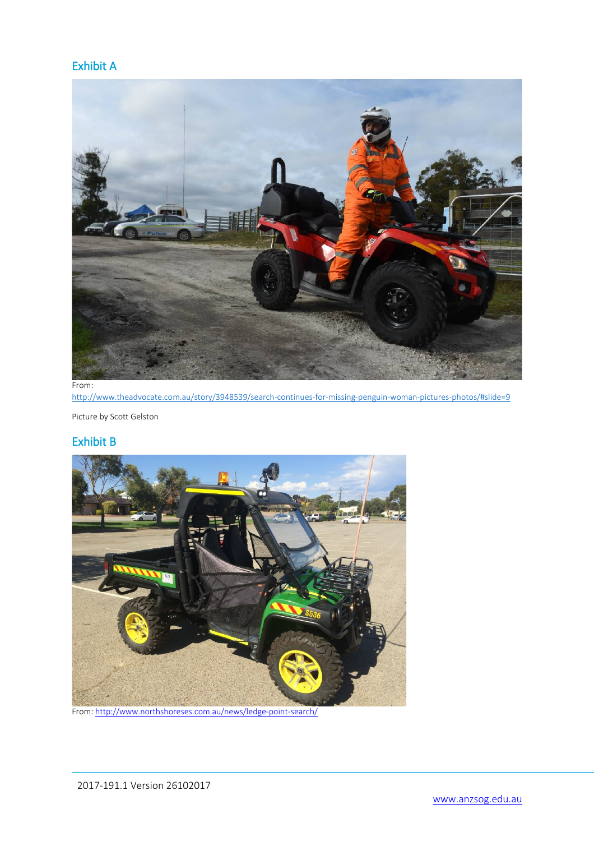#### Exhibit A



From:

<http://www.theadvocate.com.au/story/3948539/search-continues-for-missing-penguin-woman-pictures-photos/#slide=9>

Picture by Scott Gelston

#### Exhibit B



From[: http://www.northshoreses.com.au/news/ledge-point-search/](http://www.northshoreses.com.au/news/ledge-point-search/)